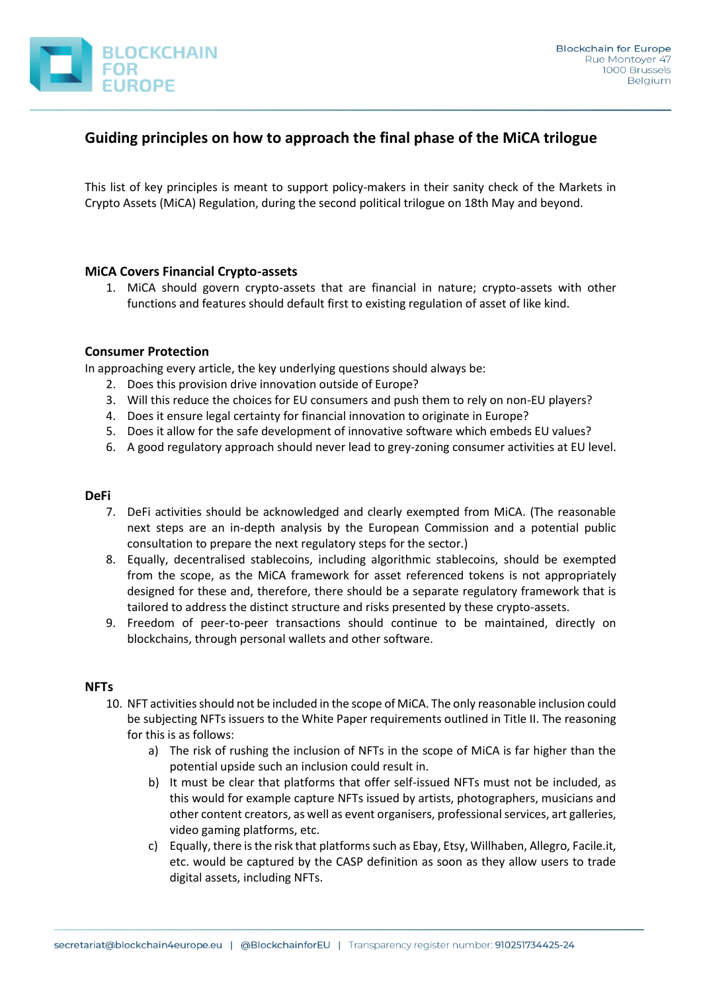

# **Guiding principles on how to approach the final phase of the MiCA trilogue**

This list of key principles is meant to support policy-makers in their sanity check of the Markets in Crypto Assets (MiCA) Regulation, during the second political trilogue on 18th May and beyond.

## **MiCA Covers Financial Crypto-assets**

1. MiCA should govern crypto-assets that are financial in nature; crypto-assets with other functions and features should default first to existing regulation of asset of like kind.

## **Consumer Protection**

In approaching every article, the key underlying questions should always be:

- 2. Does this provision drive innovation outside of Europe?
- 3. Will this reduce the choices for EU consumers and push them to rely on non-EU players?
- 4. Does it ensure legal certainty for financial innovation to originate in Europe?
- 5. Does it allow for the safe development of innovative software which embeds EU values?
- 6. A good regulatory approach should never lead to grey-zoning consumer activities at EU level.

## **DeFi**

- 7. DeFi activities should be acknowledged and clearly exempted from MiCA. (The reasonable next steps are an in-depth analysis by the European Commission and a potential public consultation to prepare the next regulatory steps for the sector.)
- 8. Equally, decentralised stablecoins, including algorithmic stablecoins, should be exempted from the scope, as the MiCA framework for asset referenced tokens is not appropriately designed for these and, therefore, there should be a separate regulatory framework that is tailored to address the distinct structure and risks presented by these crypto-assets.
- 9. Freedom of peer-to-peer transactions should continue to be maintained, directly on blockchains, through personal wallets and other software.

## **NFTs**

- 10. NFT activities should not be included in the scope of MiCA. The only reasonable inclusion could be subjecting NFTs issuers to the White Paper requirements outlined in Title II. The reasoning for this is as follows:
	- a) The risk of rushing the inclusion of NFTs in the scope of MiCA is far higher than the potential upside such an inclusion could result in.
	- b) It must be clear that platforms that offer self-issued NFTs must not be included, as this would for example capture NFTs issued by artists, photographers, musicians and other content creators, as well as event organisers, professional services, art galleries, video gaming platforms, etc.
	- c) Equally, there is the risk that platforms such as Ebay, Etsy, Willhaben, Allegro, Facile.it, etc. would be captured by the CASP definition as soon as they allow users to trade digital assets, including NFTs.